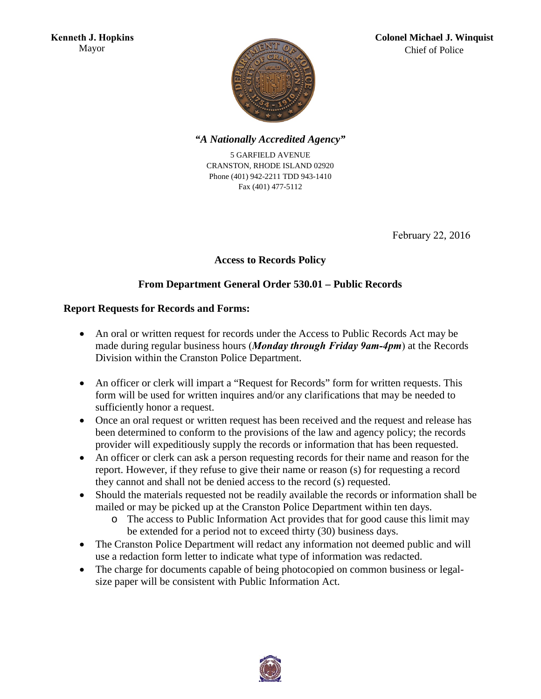

### *"A Nationally Accredited Agency"*

5 GARFIELD AVENUE CRANSTON, RHODE ISLAND 02920 Phone (401) 942-2211 TDD 943-1410 Fax (401) 477-5112

February 22, 2016

## **Access to Records Policy**

## **From Department General Order 530.01 – Public Records**

#### **Report Requests for Records and Forms:**

- An oral or written request for records under the Access to Public Records Act may be made during regular business hours (*Monday through Friday 9am-4pm*) at the Records Division within the Cranston Police Department.
- An officer or clerk will impart a "Request for Records" form for written requests. This form will be used for written inquires and/or any clarifications that may be needed to sufficiently honor a request.
- Once an oral request or written request has been received and the request and release has been determined to conform to the provisions of the law and agency policy; the records provider will expeditiously supply the records or information that has been requested.
- An officer or clerk can ask a person requesting records for their name and reason for the report. However, if they refuse to give their name or reason (s) for requesting a record they cannot and shall not be denied access to the record (s) requested.
- Should the materials requested not be readily available the records or information shall be mailed or may be picked up at the Cranston Police Department within ten days.
	- o The access to Public Information Act provides that for good cause this limit may be extended for a period not to exceed thirty (30) business days.
- The Cranston Police Department will redact any information not deemed public and will use a redaction form letter to indicate what type of information was redacted.
- The charge for documents capable of being photocopied on common business or legalsize paper will be consistent with Public Information Act.

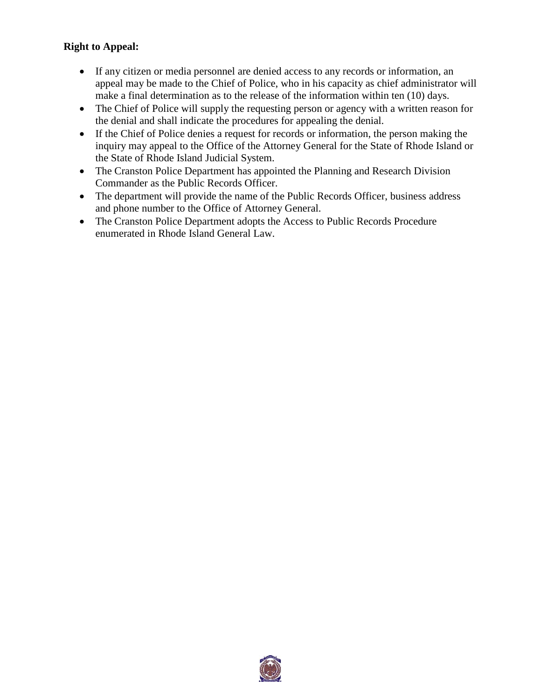## **Right to Appeal:**

- If any citizen or media personnel are denied access to any records or information, an appeal may be made to the Chief of Police, who in his capacity as chief administrator will make a final determination as to the release of the information within ten (10) days.
- The Chief of Police will supply the requesting person or agency with a written reason for the denial and shall indicate the procedures for appealing the denial.
- If the Chief of Police denies a request for records or information, the person making the inquiry may appeal to the Office of the Attorney General for the State of Rhode Island or the State of Rhode Island Judicial System.
- The Cranston Police Department has appointed the Planning and Research Division Commander as the Public Records Officer.
- The department will provide the name of the Public Records Officer, business address and phone number to the Office of Attorney General.
- The Cranston Police Department adopts the Access to Public Records Procedure enumerated in Rhode Island General Law.